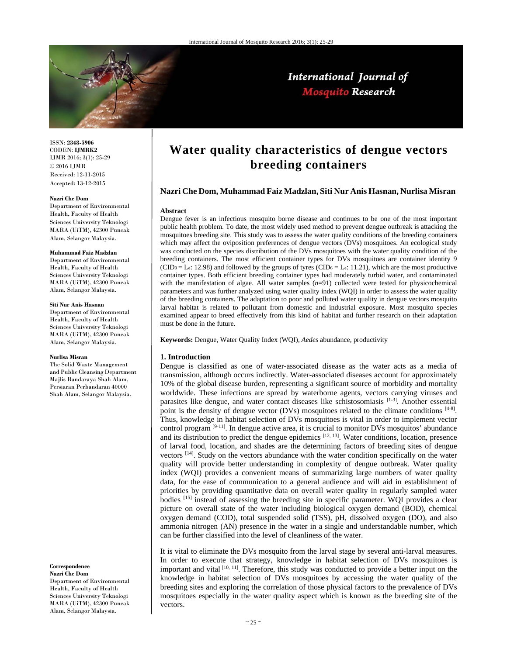

## International Journal of **Mosquito Research**

ISSN: **2348-5906** CODEN: **IJMRK2** IJMR 2016; 3(1): 25-29 © 2016 IJMR Received: 12-11-2015 Accepted: 13-12-2015

#### **Nazri Che Dom**

Department of Environmental Health, Faculty of Health Sciences University Teknologi MARA (UiTM), 42300 Puncak Alam, Selangor Malaysia.

#### **Muhammad Faiz Madzlan**

Department of Environmental Health, Faculty of Health Sciences University Teknologi MARA (UiTM), 42300 Puncak Alam, Selangor Malaysia.

#### **Siti Nur Anis Hasnan**

Department of Environmental Health, Faculty of Health Sciences University Teknologi MARA (UiTM), 42300 Puncak Alam, Selangor Malaysia.

#### **Nurlisa Misran**

The Solid Waste Management and Public Cleansing Department Majlis Bandaraya Shah Alam, Persiaran Perbandaran 40000 Shah Alam, Selangor Malaysia.

#### **Correspondence Nazri Che Dom**

Department of Environmental Health, Faculty of Health Sciences University Teknologi MARA (UiTM), 42300 Puncak Alam, Selangor Malaysia.

# **Water quality characteristics of dengue vectors breeding containers**

#### **Nazri Che Dom, Muhammad Faiz Madzlan, Siti Nur Anis Hasnan, Nurlisa Misran**

#### **Abstract**

Dengue fever is an infectious mosquito borne disease and continues to be one of the most important public health problem. To date, the most widely used method to prevent dengue outbreak is attacking the mosquitoes breeding site. This study was to assess the water quality conditions of the breeding containers which may affect the oviposition preferences of dengue vectors (DVs) mosquitoes. An ecological study was conducted on the species distribution of the DVs mosquitoes with the water quality condition of the breeding containers. The most efficient container types for DVs mosquitoes are container identity 9  $(CID<sub>9</sub> = L<sub>e</sub>: 12.98)$  and followed by the groups of tyres  $(CID<sub>6</sub> = L<sub>e</sub>: 11.21)$ , which are the most productive container types. Both efficient breeding container types had moderately turbid water, and contaminated with the manifestation of algae. All water samples  $(n=91)$  collected were tested for physicochemical parameters and was further analyzed using water quality index (WQI) in order to assess the water quality of the breeding containers. The adaptation to poor and polluted water quality in dengue vectors mosquito larval habitat is related to pollutant from domestic and industrial exposure. Most mosquito species examined appear to breed effectively from this kind of habitat and further research on their adaptation must be done in the future.

**Keywords:** Dengue, Water Quality Index (WQI), *Aedes* abundance, productivity

#### **1. Introduction**

Dengue is classified as one of water-associated disease as the water acts as a media of transmission, although occurs indirectly. Water-associated diseases account for approximately 10% of the global disease burden, representing a significant source of morbidity and mortality worldwide. These infections are spread by waterborne agents, vectors carrying viruses and parasites like dengue, and water contact diseases like schistosomiasis  $[1-3]$ . Another essential point is the density of dengue vector (DVs) mosquitoes related to the climate conditions [4-8]. Thus, knowledge in habitat selection of DVs mosquitoes is vital in order to implement vector control program  $[9-11]$ . In dengue active area, it is crucial to monitor DVs mosquitos' abundance and its distribution to predict the dengue epidemics [12, 13]. Water conditions, location, presence of larval food, location, and shades are the determining factors of breeding sites of dengue vectors [14]. Study on the vectors abundance with the water condition specifically on the water quality will provide better understanding in complexity of dengue outbreak. Water quality index (WQI) provides a convenient means of summarizing large numbers of water quality data, for the ease of communication to a general audience and will aid in establishment of priorities by providing quantitative data on overall water quality in regularly sampled water bodies [15] instead of assessing the breeding site in specific parameter. WQI provides a clear picture on overall state of the water including biological oxygen demand (BOD), chemical oxygen demand (COD), total suspended solid (TSS), pH, dissolved oxygen (DO), and also ammonia nitrogen (AN) presence in the water in a single and understandable number, which can be further classified into the level of cleanliness of the water.

It is vital to eliminate the DVs mosquito from the larval stage by several anti-larval measures. In order to execute that strategy, knowledge in habitat selection of DVs mosquitoes is important and vital [10, 11]. Therefore, this study was conducted to provide a better input on the knowledge in habitat selection of DVs mosquitoes by accessing the water quality of the breeding sites and exploring the correlation of those physical factors to the prevalence of DVs mosquitoes especially in the water quality aspect which is known as the breeding site of the vectors.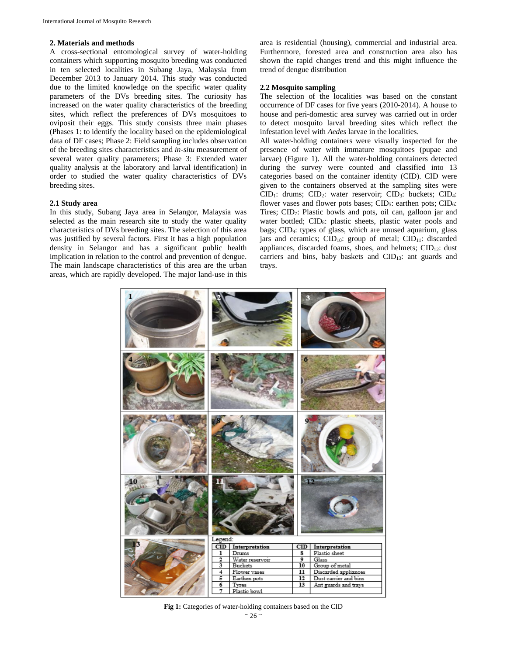#### **2. Materials and methods**

A cross-sectional entomological survey of water-holding containers which supporting mosquito breeding was conducted in ten selected localities in Subang Jaya, Malaysia from December 2013 to January 2014. This study was conducted due to the limited knowledge on the specific water quality parameters of the DVs breeding sites. The curiosity has increased on the water quality characteristics of the breeding sites, which reflect the preferences of DVs mosquitoes to oviposit their eggs. This study consists three main phases (Phases 1: to identify the locality based on the epidemiological data of DF cases; Phase 2: Field sampling includes observation of the breeding sites characteristics and *in-situ* measurement of several water quality parameters; Phase 3: Extended water quality analysis at the laboratory and larval identification) in order to studied the water quality characteristics of DVs breeding sites.

#### **2.1 Study area**

In this study, Subang Jaya area in Selangor, Malaysia was selected as the main research site to study the water quality characteristics of DVs breeding sites. The selection of this area was justified by several factors. First it has a high population density in Selangor and has a significant public health implication in relation to the control and prevention of dengue. The main landscape characteristics of this area are the urban areas, which are rapidly developed. The major land-use in this

area is residential (housing), commercial and industrial area. Furthermore, forested area and construction area also has shown the rapid changes trend and this might influence the trend of dengue distribution

## **2.2 Mosquito sampling**

The selection of the localities was based on the constant occurrence of DF cases for five years (2010-2014). A house to house and peri-domestic area survey was carried out in order to detect mosquito larval breeding sites which reflect the infestation level with *Aedes* larvae in the localities.

All water-holding containers were visually inspected for the presence of water with immature mosquitoes (pupae and larvae) (Figure 1). All the water-holding containers detected during the survey were counted and classified into 13 categories based on the container identity (CID). CID were given to the containers observed at the sampling sites were  $CID_1$ : drums;  $CID_2$ : water reservoir;  $CID_3$ : buckets;  $CID_4$ : flower vases and flower pots bases;  $\text{CID}_5$ : earthen pots;  $\text{CID}_6$ : Tires;  $CID<sub>7</sub>$ : Plastic bowls and pots, oil can, galloon jar and water bottled; CID<sub>8</sub>: plastic sheets, plastic water pools and bags; CID9: types of glass, which are unused aquarium, glass jars and ceramics;  $CID_{10}$ : group of metal;  $CID_{11}$ : discarded appliances, discarded foams, shoes, and helmets;  $CID_{12}$ : dust carriers and bins, baby baskets and CID13: ant guards and trays.



**Fig 1:** Categories of water-holding containers based on the CID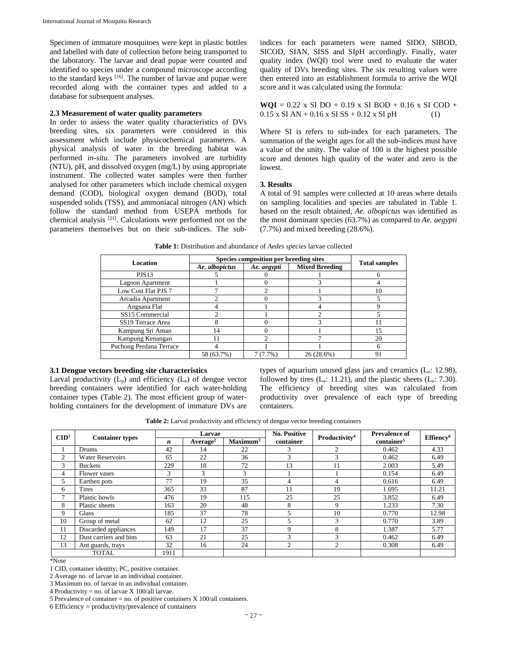Specimen of immature mosquitoes were kept in plastic bottles and labelled with date of collection before being transported to the laboratory. The larvae and dead pupae were counted and identified to species under a compound microscope according to the standard keys <sup>[16]</sup>. The number of larvae and pupae were recorded along with the container types and added to a database for subsequent analyses.

#### **2.3 Measurement of water quality parameters**

In order to assess the water quality characteristics of DVs breeding sites, six parameters were considered in this assessment which include physicochemical parameters. A physical analysis of water in the breeding habitat was performed *in-situ*. The parameters involved are turbidity (NTU), pH, and dissolved oxygen (mg/L) by using appropriate instrument. The collected water samples were then further analysed for other parameters which include chemical oxygen demand (COD), biological oxygen demand (BOD), total suspended solids (TSS), and ammoniacal nitrogen (AN) which follow the standard method from USEPA methods for chemical analysis [21]. Calculations were performed not on the parameters themselves but on their sub-indices. The subindices for each parameters were named SIDO, SIBOD, SICOD, SIAN, SISS and SIpH accordingly. Finally, water quality index (WQI) tool were used to evaluate the water quality of DVs breeding sites. The six resulting values were then entered into an establishment formula to arrive the WQI score and it was calculated using the formula:

 $WQI = 0.22$  x SI DO + 0.19 x SI BOD + 0.16 x SI COD +  $0.15 \times$  SI AN + 0.16 x SI SS + 0.12 x SI pH (1)

Where SI is refers to sub-index for each parameters. The summation of the weight ages for all the sub-indices must have a value of the unity. The value of 100 is the highest possible score and denotes high quality of the water and zero is the lowest.

#### **3. Results**

A total of 91 samples were collected at 10 areas where details on sampling localities and species are tabulated in Table 1. based on the result obtained, *Ae. albopictus* was identified as the most dominant species (63.7%) as compared to *Ae. aegypti*  (7.7%) and mixed breeding (28.6%).

| Location                      | Species composition per breeding sites | <b>Total samples</b> |                       |    |  |
|-------------------------------|----------------------------------------|----------------------|-----------------------|----|--|
|                               | Ae. albopictus                         | Ae. aegypti          | <b>Mixed Breeding</b> |    |  |
| <b>PJS13</b>                  |                                        |                      |                       | n  |  |
| Lagoon Apartment              |                                        |                      |                       |    |  |
| Low Cost Flat PJS 7           |                                        |                      |                       | 10 |  |
| Arcadia Apartment             |                                        |                      |                       |    |  |
| Angsana Flat                  |                                        |                      |                       |    |  |
| SS15 Commercial               |                                        |                      |                       |    |  |
| SS <sub>19</sub> Terrace Area |                                        |                      |                       |    |  |
| Kampung Sri Aman              | 14                                     |                      |                       | 15 |  |
| Kampung Kenangan              | 11                                     |                      |                       | 20 |  |
| Puchong Perdana Terrace       |                                        |                      |                       | 6  |  |
|                               | 58 (63.7%)                             | 7 (7.7%)             | 26 (28.6%)            | 91 |  |

#### **3.1 Dengue vectors breeding site characteristics**

Larval productivity  $(L_p)$  and efficiency  $(L_e)$  of dengue vector breeding containers were identified for each water-holding container types (Table 2). The most efficient group of waterholding containers for the development of immature DVs are

types of aquarium unused glass jars and ceramics  $(L_e: 12.98)$ , followed by tires  $(L_e: 11.21)$ , and the plastic sheets  $(L_e: 7.30)$ . The efficiency of breeding sites was calculated from productivity over prevalence of each type of breeding containers.

**Table 2:** Larval productivity and efficiency of dengue vector breeding containers

| $\mathbf{C}\mathbf{ID}^1$ |                         | Larvae |                      |                      | <b>No. Positive</b> |                           | <b>Prevalence of</b>   |                       |
|---------------------------|-------------------------|--------|----------------------|----------------------|---------------------|---------------------------|------------------------|-----------------------|
|                           | <b>Container types</b>  | n      | Average <sup>2</sup> | Maximum <sup>3</sup> | container           | Productivity <sup>4</sup> | container <sup>5</sup> | Effiency <sup>6</sup> |
|                           | Drums                   | 42     | 14                   | 22                   | 3                   | 2                         | 0.462                  | 4.33                  |
| $\overline{2}$            | <b>Water Reservoirs</b> | 65     | 22                   | 36                   | 3                   | 3                         | 0.462                  | 6.49                  |
| 3                         | <b>Buckets</b>          | 229    | 18                   | 72                   | 13                  | 11                        | 2.003                  | 5.49                  |
| 4                         | Flower vases            | 3      | 3                    | 3                    |                     |                           | 0.154                  | 6.49                  |
| 5                         | Earthen pots            | 77     | 19                   | 35                   | 4                   | 4                         | 0.616                  | 6.49                  |
| 6                         | Tires                   | 365    | 33                   | 87                   | 11                  | 19                        | 1.695                  | 11.21                 |
| $\mathbf{r}$              | Plastic bowls           | 476    | 19                   | 115                  | 25                  | 25                        | 3.852                  | 6.49                  |
| 8                         | Plastic sheets          | 163    | 20                   | 48                   | 8                   | 9                         | 1.233                  | 7.30                  |
| 9                         | <b>Glass</b>            | 185    | 37                   | 78                   | 5                   | 10                        | 0.770                  | 12.98                 |
| 10                        | Group of metal          | 62     | 12                   | 25                   | 5                   | $\mathbf{3}$              | 0.770                  | 3.89                  |
| 11                        | Discarded appliances    | 149    | 17                   | 37                   | 9                   | 8                         | 1.387                  | 5.77                  |
| 12                        | Dust carriers and bins  | 63     | 21                   | 25                   | 3                   | 3                         | 0.462                  | 6.49                  |
| 13                        | Ant guards, trays       | 32     | 16                   | 24                   | $\overline{2}$      | $\overline{2}$            | 0.308                  | 6.49                  |
|                           | <b>TOTAL</b>            | 1911   |                      |                      |                     |                           |                        |                       |

\*Note

1 CID, container identity; PC, positive container.

2 Average no. of larvae in an individual container.

3 Maximum no. of larvae in an individual container.

4 Productivity = no. of larvae X 100/all larvae.

5 Prevalence of container = no. of positive containers X 100/all containers.

6 Efficiency = productivity/prevalence of containers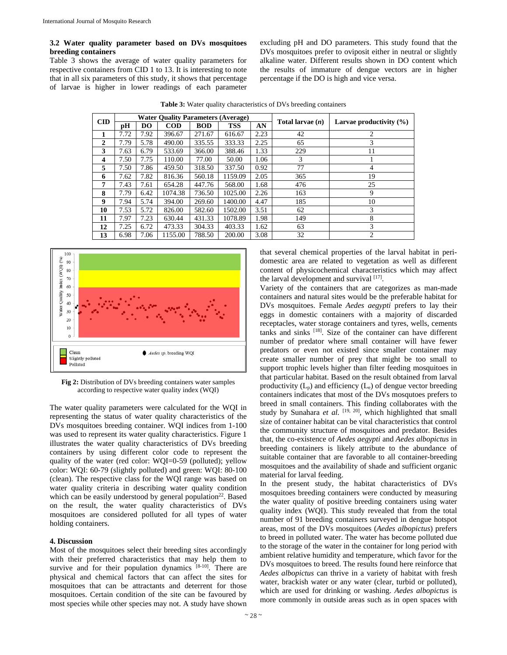## **3.2 Water quality parameter based on DVs mosquitoes breeding containers**

Table 3 shows the average of water quality parameters for respective containers from CID 1 to 13. It is interesting to note that in all six parameters of this study, it shows that percentage of larvae is higher in lower readings of each parameter excluding pH and DO parameters. This study found that the DVs mosquitoes prefer to oviposit either in neutral or slightly alkaline water. Different results shown in DO content which the results of immature of dengue vectors are in higher percentage if the DO is high and vice versa.

| <b>CID</b>   | <b>Water Ouality Parameters (Average)</b> |      |            |            |            | Total larvae $(n)$ | Larvae productivity $(\% )$ |    |  |
|--------------|-------------------------------------------|------|------------|------------|------------|--------------------|-----------------------------|----|--|
|              | pН                                        | DO   | <b>COD</b> | <b>BOD</b> | <b>TSS</b> | AN                 |                             |    |  |
| 1            | 7.72                                      | 7.92 | 396.67     | 271.67     | 616.67     | 2.23               | 42                          | 2  |  |
| $\mathbf{2}$ | 7.79                                      | 5.78 | 490.00     | 335.55     | 333.33     | 2.25               | 65                          | 3  |  |
| 3            | 7.63                                      | 6.79 | 533.69     | 366.00     | 388.46     | 1.33               | 229                         | 11 |  |
| 4            | 7.50                                      | 7.75 | 110.00     | 77.00      | 50.00      | 1.06               | 3                           |    |  |
| 5            | 7.50                                      | 7.86 | 459.50     | 318.50     | 337.50     | 0.92               | 77                          | 4  |  |
| 6            | 7.62                                      | 7.82 | 816.36     | 560.18     | 1159.09    | 2.05               | 365                         | 19 |  |
| 7            | 7.43                                      | 7.61 | 654.28     | 447.76     | 568.00     | 1.68               | 476                         | 25 |  |
| 8            | 7.79                                      | 6.42 | 1074.38    | 736.50     | 1025.00    | 2.26               | 163                         | 9  |  |
| 9            | 7.94                                      | 5.74 | 394.00     | 269.60     | 1400.00    | 4.47               | 185                         | 10 |  |
| 10           | 7.53                                      | 5.72 | 826.00     | 582.60     | 1502.00    | 3.51               | 62                          | 3  |  |
| 11           | 7.97                                      | 7.23 | 630.44     | 431.33     | 1078.89    | 1.98               | 149                         | 8  |  |
| 12           | 7.25                                      | 6.72 | 473.33     | 304.33     | 403.33     | 1.62               | 63                          | 3  |  |
| 13           | 6.98                                      | 7.06 | 1155.00    | 788.50     | 200.00     | 3.08               | 32                          | 2  |  |

**Table 3:** Water quality characteristics of DVs breeding containers



**Fig 2:** Distribution of DVs breeding containers water samples according to respective water quality index (WQI)

The water quality parameters were calculated for the WQI in representing the status of water quality characteristics of the DVs mosquitoes breeding container. WQI indices from 1-100 was used to represent its water quality characteristics. Figure 1 illustrates the water quality characteristics of DVs breeding containers by using different color code to represent the quality of the water (red color: WQI=0-59 (polluted); yellow color: WQI: 60-79 (slightly polluted) and green: WQI: 80-100 (clean). The respective class for the WQI range was based on water quality criteria in describing water quality condition which can be easily understood by general population<sup>22</sup>. Based on the result, the water quality characteristics of DVs mosquitoes are considered polluted for all types of water holding containers.

#### **4. Discussion**

Most of the mosquitoes select their breeding sites accordingly with their preferred characteristics that may help them to survive and for their population dynamics  $[8-10]$ . There are physical and chemical factors that can affect the sites for mosquitoes that can be attractants and deterrent for those mosquitoes. Certain condition of the site can be favoured by most species while other species may not. A study have shown that several chemical properties of the larval habitat in peridomestic area are related to vegetation as well as different content of physicochemical characteristics which may affect the larval development and survival  $[17]$ .

Variety of the containers that are categorizes as man-made containers and natural sites would be the preferable habitat for DVs mosquitoes. Female *Aedes aegypti* prefers to lay their eggs in domestic containers with a majority of discarded receptacles, water storage containers and tyres, wells, cements tanks and sinks [18]. Size of the container can have different number of predator where small container will have fewer predators or even not existed since smaller container may create smaller number of prey that might be too small to support trophic levels higher than filter feeding mosquitoes in that particular habitat. Based on the result obtained from larval productivity  $(L_p)$  and efficiency  $(L_e)$  of dengue vector breeding containers indicates that most of the DVs mosqutoes prefers to breed in small containers. This finding collaborates with the study by Sunahara *et al.*  $[19, 20]$ , which highlighted that small size of container habitat can be vital characteristics that control the community structure of mosquitoes and predator. Besides that, the co-existence of *Aedes aegypti* and *Aedes albopictus* in breeding containers is likely attribute to the abundance of suitable container that are favorable to all container-breeding mosquitoes and the availability of shade and sufficient organic material for larval feeding.

In the present study, the habitat characteristics of DVs mosquitoes breeding containers were conducted by measuring the water quality of positive breeding containers using water quality index (WQI). This study revealed that from the total number of 91 breeding containers surveyed in dengue hotspot areas, most of the DVs mosquitoes (*Aedes albopictus*) prefers to breed in polluted water. The water has become polluted due to the storage of the water in the container for long period with ambient relative humidity and temperature, which favor for the DVs mosquitoes to breed. The results found here reinforce that *Aedes albopictus* can thrive in a variety of habitat with fresh water, brackish water or any water (clear, turbid or polluted), which are used for drinking or washing. *Aedes albopictus* is more commonly in outside areas such as in open spaces with